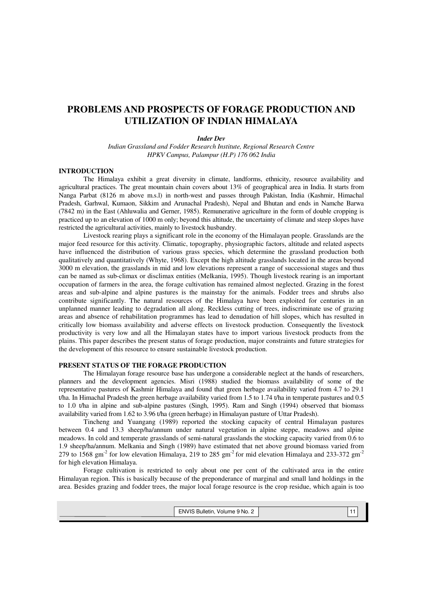# **PROBLEMS AND PROSPECTS OF FORAGE PRODUCTION AND UTILIZATION OF INDIAN HIMALAYA**

#### *Inder Dev*

*Indian Grassland and Fodder Research Institute, Regional Research Centre HPKV Campus, Palampur (H.P) 176 062 India* 

#### **INTRODUCTION**

 The Himalaya exhibit a great diversity in climate, landforms, ethnicity, resource availability and agricultural practices. The great mountain chain covers about 13% of geographical area in India. It starts from Nanga Parbat (8126 m above m.s.l) in north-west and passes through Pakistan, India (Kashmir, Himachal Pradesh, Garhwal, Kumaon, Sikkim and Arunachal Pradesh), Nepal and Bhutan and ends in Namche Barwa (7842 m) in the East (Ahluwalia and Gerner, 1985). Remunerative agriculture in the form of double cropping is practiced up to an elevation of 1000 m only; beyond this altitude, the uncertainty of climate and steep slopes have restricted the agricultural activities, mainly to livestock husbandry.

 Livestock rearing plays a significant role in the economy of the Himalayan people. Grasslands are the major feed resource for this activity. Climatic, topography, physiographic factors, altitude and related aspects have influenced the distribution of various grass species, which determine the grassland production both qualitatively and quantitatively (Whyte, 1968). Except the high altitude grasslands located in the areas beyond 3000 m elevation, the grasslands in mid and low elevations represent a range of successional stages and thus can be named as sub-climax or disclimax entities (Melkania, 1995). Though livestock rearing is an important occupation of farmers in the area, the forage cultivation has remained almost neglected. Grazing in the forest areas and sub-alpine and alpine pastures is the mainstay for the animals. Fodder trees and shrubs also contribute significantly. The natural resources of the Himalaya have been exploited for centuries in an unplanned manner leading to degradation all along. Reckless cutting of trees, indiscriminate use of grazing areas and absence of rehabilitation programmes has lead to denudation of hill slopes, which has resulted in critically low biomass availability and adverse effects on livestock production. Consequently the livestock productivity is very low and all the Himalayan states have to import various livestock products from the plains. This paper describes the present status of forage production, major constraints and future strategies for the development of this resource to ensure sustainable livestock production.

#### **PRESENT STATUS OF THE FORAGE PRODUCTION**

 The Himalayan forage resource base has undergone a considerable neglect at the hands of researchers, planners and the development agencies. Misri (1988) studied the biomass availability of some of the representative pastures of Kashmir Himalaya and found that green herbage availability varied from 4.7 to 29.1 t/ha. In Himachal Pradesh the green herbage availability varied from 1.5 to 1.74 t/ha in temperate pastures and 0.5 to 1.0 t/ha in alpine and sub-alpine pastures (Singh, 1995). Ram and Singh (1994) observed that biomass availability varied from 1.62 to 3.96 t/ha (green herbage) in Himalayan pasture of Uttar Pradesh).

Tincheng and Yuangang (1989) reported the stocking capacity of central Himalayan pastures between 0.4 and 13.3 sheep/ha/annum under natural vegetation in alpine steppe, meadows and alpine meadows. In cold and temperate grasslands of semi-natural grasslands the stocking capacity varied from 0.6 to 1.9 sheep/ha/annum. Melkania and Singh (1989) have estimated that net above ground biomass varied from 279 to  $1568$  gm<sup>-2</sup> for low elevation Himalaya, 219 to 285 gm<sup>-2</sup> for mid elevation Himalaya and 233-372 gm<sup>-2</sup> for high elevation Himalaya.

Forage cultivation is restricted to only about one per cent of the cultivated area in the entire Himalayan region. This is basically because of the preponderance of marginal and small land holdings in the area. Besides grazing and fodder trees, the major local forage resource is the crop residue, which again is too

| ENVIS Bulletin, Volume 9 No. 2 |  |  |
|--------------------------------|--|--|
|                                |  |  |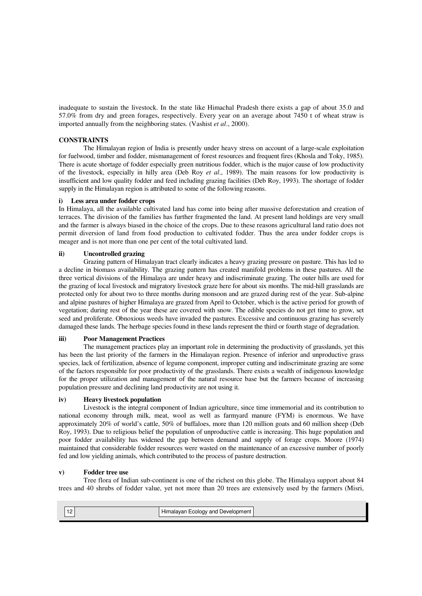inadequate to sustain the livestock. In the state like Himachal Pradesh there exists a gap of about 35.0 and 57.0% from dry and green forages, respectively. Every year on an average about 7450 t of wheat straw is imported annually from the neighboring states. (Vashist *et al*., 2000).

#### **CONSTRAINTS**

 The Himalayan region of India is presently under heavy stress on account of a large-scale exploitation for fuelwood, timber and fodder, mismanagement of forest resources and frequent fires (Khosla and Toky, 1985). There is acute shortage of fodder especially green nutritious fodder, which is the major cause of low productivity of the livestock, especially in hilly area (Deb Roy *et al*., 1989). The main reasons for low productivity is insufficient and low quality fodder and feed including grazing facilities (Deb Roy, 1993). The shortage of fodder supply in the Himalayan region is attributed to some of the following reasons.

### **i) Less area under fodder crops**

In Himalaya, all the available cultivated land has come into being after massive deforestation and creation of terraces. The division of the families has further fragmented the land. At present land holdings are very small and the farmer is always biased in the choice of the crops. Due to these reasons agricultural land ratio does not permit diversion of land from food production to cultivated fodder. Thus the area under fodder crops is meager and is not more than one per cent of the total cultivated land.

# **ii) Uncontrolled grazing**

 Grazing pattern of Himalayan tract clearly indicates a heavy grazing pressure on pasture. This has led to a decline in biomass availability. The grazing pattern has created manifold problems in these pastures. All the three vertical divisions of the Himalaya are under heavy and indiscriminate grazing. The outer hills are used for the grazing of local livestock and migratory livestock graze here for about six months. The mid-hill grasslands are protected only for about two to three months during monsoon and are grazed during rest of the year. Sub-alpine and alpine pastures of higher Himalaya are grazed from April to October, which is the active period for growth of vegetation; during rest of the year these are covered with snow. The edible species do not get time to grow, set seed and proliferate. Obnoxious weeds have invaded the pastures. Excessive and continuous grazing has severely damaged these lands. The herbage species found in these lands represent the third or fourth stage of degradation.

#### **iii) Poor Management Practices**

 The management practices play an important role in determining the productivity of grasslands, yet this has been the last priority of the farmers in the Himalayan region. Presence of inferior and unproductive grass species, lack of fertilization, absence of legume component, improper cutting and indiscriminate grazing are some of the factors responsible for poor productivity of the grasslands. There exists a wealth of indigenous knowledge for the proper utilization and management of the natural resource base but the farmers because of increasing population pressure and declining land productivity are not using it.

### **iv) Heavy livestock population**

 Livestock is the integral component of Indian agriculture, since time immemorial and its contribution to national economy through milk, meat, wool as well as farmyard manure (FYM) is enormous. We have approximately 20% of world's cattle, 50% of buffaloes, more than 120 million goats and 60 million sheep (Deb Roy, 1993). Due to religious belief the population of unproductive cattle is increasing. This huge population and poor fodder availability has widened the gap between demand and supply of forage crops. Moore (1974) maintained that considerable fodder resources were wasted on the maintenance of an excessive number of poorly fed and low yielding animals, which contributed to the process of pasture destruction.

# **v) Fodder tree use**

 Tree flora of Indian sub-continent is one of the richest on this globe. The Himalaya support about 84 trees and 40 shrubs of fodder value, yet not more than 20 trees are extensively used by the farmers (Misri,

|  | $\cdots$<br>Himalayan Ecology and Development |  |
|--|-----------------------------------------------|--|
|  |                                               |  |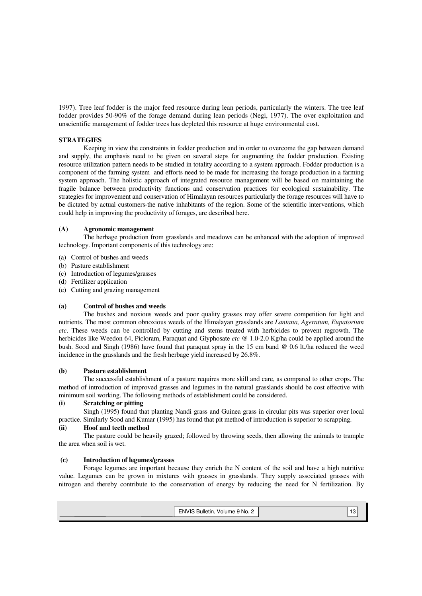1997). Tree leaf fodder is the major feed resource during lean periods, particularly the winters. The tree leaf fodder provides 50-90% of the forage demand during lean periods (Negi, 1977). The over exploitation and unscientific management of fodder trees has depleted this resource at huge environmental cost.

#### **STRATEGIES**

 Keeping in view the constraints in fodder production and in order to overcome the gap between demand and supply, the emphasis need to be given on several steps for augmenting the fodder production. Existing resource utilization pattern needs to be studied in totality according to a system approach. Fodder production is a component of the farming system and efforts need to be made for increasing the forage production in a farming system approach. The holistic approach of integrated resource management will be based on maintaining the fragile balance between productivity functions and conservation practices for ecological sustainability. The strategies for improvement and conservation of Himalayan resources particularly the forage resources will have to be dictated by actual customers-the native inhabitants of the region. Some of the scientific interventions, which could help in improving the productivity of forages, are described here.

### **(A) Agronomic management**

The herbage production from grasslands and meadows can be enhanced with the adoption of improved technology. Important components of this technology are:

- (a) Control of bushes and weeds
- (b) Pasture establishment
- (c) Introduction of legumes/grasses
- (d) Fertilizer application
- (e) Cutting and grazing management

### **(a) Control of bushes and weeds**

The bushes and noxious weeds and poor quality grasses may offer severe competition for light and nutrients. The most common obnoxious weeds of the Himalayan grasslands are *Lantana, Ageratum, Eupatorium etc*. These weeds can be controlled by cutting and stems treated with herbicides to prevent regrowth. The herbicides like Weedon 64, Picloram, Paraquat and Glyphosate *etc* @ 1.0-2.0 Kg/ha could be applied around the bush. Sood and Singh (1986) have found that paraquat spray in the 15 cm band @ 0.6 lt./ha reduced the weed incidence in the grasslands and the fresh herbage yield increased by 26.8%.

#### **(b) Pasture establishment**

The successful establishment of a pasture requires more skill and care, as compared to other crops. The method of introduction of improved grasses and legumes in the natural grasslands should be cost effective with minimum soil working. The following methods of establishment could be considered.

# **(i) Scratching or pitting**

Singh (1995) found that planting Nandi grass and Guinea grass in circular pits was superior over local practice. Similarly Sood and Kumar (1995) has found that pit method of introduction is superior to scrapping.

#### **(ii) Hoof and teeth method**

 The pasture could be heavily grazed; followed by throwing seeds, then allowing the animals to trample the area when soil is wet.

### **(c) Introduction of legumes/grasses**

 Forage legumes are important because they enrich the N content of the soil and have a high nutritive value. Legumes can be grown in mixtures with grasses in grasslands. They supply associated grasses with nitrogen and thereby contribute to the conservation of energy by reducing the need for N fertilization. By

| ENVIS Bulletin, Volume 9 No. 2 |  |
|--------------------------------|--|
|                                |  |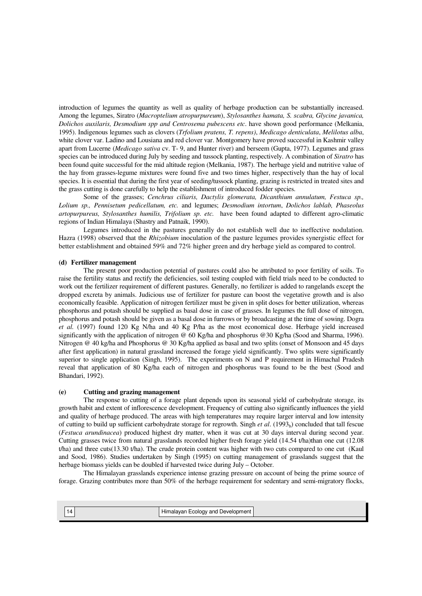introduction of legumes the quantity as well as quality of herbage production can be substantially increased. Among the legumes, Siratro (*Macroptelium atropurpureum*), *Stylosanthes hamata, S. scabra, Glycine javanica, Dolichos auxilaris, Desmodium spp and Centrosema pubescens etc*. have shown good performance (Melkania, 1995). Indigenous legumes such as clovers (*Trfolium pratens, T. repens)*, *Medicago denticulata*, *Melilotus alba*, white clover var. Ladino and Lousiana and red clover var. Montgomery have proved successful in Kashmir valley apart from Lucerne (*Medicago sativa* cv. T- 9, and Hunter river) and berseem (Gupta, 1977). Legumes and grass species can be introduced during July by seeding and tussock planting, respectively. A combination of *Siratro* has been found quite successful for the mid altitude region (Melkania, 1987). The herbage yield and nutritive value of the hay from grasses-legume mixtures were found five and two times higher, respectively than the hay of local species. It is essential that during the first year of seeding/tussock planting, grazing is restricted in treated sites and the grass cutting is done carefully to help the establishment of introduced fodder species.

 Some of the grasses; *Cenchrus ciliaris, Dactylis glomerata, Dicanthium annulatum, Festuca sp., Lolium sp., Pennisetum pedicellatum, etc.* and legumes; *Desmodium intortum*, *Dolichos lablab, Phaseolus artopurpureus, Stylosanthes humilis, Trifolium sp. etc.* have been found adapted to different agro-climatic regions of Indian Himalaya (Shastry and Patnaik, 1990).

 Legumes introduced in the pastures generally do not establish well due to ineffective nodulation. Hazra (1998) observed that the *Rhizobium* inoculation of the pasture legumes provides synergistic effect for better establishment and obtained 59% and 72% higher green and dry herbage yield as compared to control.

#### **(d) Fertilizer management**

The present poor production potential of pastures could also be attributed to poor fertility of soils. To raise the fertility status and rectify the deficiencies, soil testing coupled with field trials need to be conducted to work out the fertilizer requirement of different pastures. Generally, no fertilizer is added to rangelands except the dropped excreta by animals. Judicious use of fertilizer for pasture can boost the vegetative growth and is also economically feasible. Application of nitrogen fertilizer must be given in split doses for better utilization, whereas phosphorus and potash should be supplied as basal dose in case of grasses. In legumes the full dose of nitrogen, phosphorus and potash should be given as a basal dose in furrows or by broadcasting at the time of sowing. Dogra *et al.* (1997) found 120 Kg N/ha and 40 Kg P/ha as the most economical dose. Herbage yield increased significantly with the application of nitrogen @ 60 Kg/ha and phosphorus @30 Kg/ha (Sood and Sharma, 1996). Nitrogen @ 40 kg/ha and Phosphorus @ 30 Kg/ha applied as basal and two splits (onset of Monsoon and 45 days after first application) in natural grassland increased the forage yield significantly. Two splits were significantly superior to single application (Singh, 1995). The experiments on N and P requirement in Himachal Pradesh reveal that application of 80 Kg/ha each of nitrogen and phosphorus was found to be the best (Sood and Bhandari, 1992).

#### **(e) Cutting and grazing management**

The response to cutting of a forage plant depends upon its seasonal yield of carbohydrate storage, its growth habit and extent of inflorescence development. Frequency of cutting also significantly influences the yield and quality of herbage produced. The areas with high temperatures may require larger interval and low intensity of cutting to build up sufficient carbohydrate storage for regrowth. Singh *et al.* (1993<sub>b</sub>) concluded that tall fescue (*Festuca arundinacea*) produced highest dry matter, when it was cut at 30 days interval during second year. Cutting grasses twice from natural grasslands recorded higher fresh forage yield (14.54 t/ha)than one cut (12.08 t/ha) and three cuts(13.30 t/ha). The crude protein content was higher with two cuts compared to one cut (Kaul and Sood, 1986). Studies undertaken by Singh (1995) on cutting management of grasslands suggest that the herbage biomass yields can be doubled if harvested twice during July – October.

The Himalayan grasslands experience intense grazing pressure on account of being the prime source of forage. Grazing contributes more than 50% of the herbage requirement for sedentary and semi-migratory flocks,

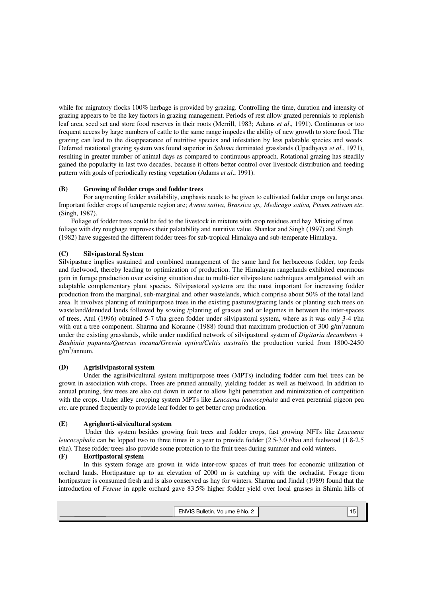while for migratory flocks 100% herbage is provided by grazing. Controlling the time, duration and intensity of grazing appears to be the key factors in grazing management. Periods of rest allow grazed perennials to replenish leaf area, seed set and store food reserves in their roots (Merrill, 1983; Adams *et al*., 1991). Continuous or too frequent access by large numbers of cattle to the same range impedes the ability of new growth to store food. The grazing can lead to the disappearance of nutritive species and infestation by less palatable species and weeds. Deferred rotational grazing system was found superior in *Sehima* dominated grasslands (Upadhyaya *et al*., 1971), resulting in greater number of animal days as compared to continuous approach. Rotational grazing has steadily gained the popularity in last two decades, because it offers better control over livestock distribution and feeding pattern with goals of periodically resting vegetation (Adams *et al*., 1991).

# **(B) Growing of fodder crops and fodder trees**

For augmenting fodder availability, emphasis needs to be given to cultivated fodder crops on large area. Important fodder crops of temperate region are; *Avena sativa, Brassica sp., Medicago sativa, Pisum sativum etc*. (Singh, 1987).

 Foliage of fodder trees could be fed to the livestock in mixture with crop residues and hay. Mixing of tree foliage with dry roughage improves their palatability and nutritive value. Shankar and Singh (1997) and Singh (1982) have suggested the different fodder trees for sub-tropical Himalaya and sub-temperate Himalaya.

# **(C) Silvipastoral System**

Silvipasture implies sustained and combined management of the same land for herbaceous fodder, top feeds and fuelwood, thereby leading to optimization of production. The Himalayan rangelands exhibited enormous gain in forage production over existing situation due to multi-tier silvipasture techniques amalgamated with an adaptable complementary plant species. Silvipastoral systems are the most important for increasing fodder production from the marginal, sub-marginal and other wastelands, which comprise about 50% of the total land area. It involves planting of multipurpose trees in the existing pastures/grazing lands or planting such trees on wasteland/denuded lands followed by sowing /planting of grasses and or legumes in between the inter-spaces of trees. Atul (1996) obtained 5-7 t/ha green fodder under silvipastoral system, where as it was only 3-4 t/ha with out a tree component. Sharma and Koranne (1988) found that maximum production of 300 g/m<sup>2</sup>/annum under the existing grasslands, while under modified network of silvipastoral system of *Digitaria decumbens + Bauhinia pupurea/Quercus incana/Grewia optiva/Celtis australis* the production varied from 1800-2450  $g/m^2$ /annum.

# **(D) Agrisilvipastoral system**

 Under the agrisilvicultural system multipurpose trees (MPTs) including fodder cum fuel trees can be grown in association with crops. Trees are pruned annually, yielding fodder as well as fuelwood. In addition to annual pruning, few trees are also cut down in order to allow light penetration and minimization of competition with the crops. Under alley cropping system MPTs like *Leucaena leucocephala* and even perennial pigeon pea *etc*. are pruned frequently to provide leaf fodder to get better crop production.

# **(E) Agrighorti-silvicultural system**

Under this system besides growing fruit trees and fodder crops, fast growing NFTs like *Leucaena leucocephala* can be lopped two to three times in a year to provide fodder (2.5-3.0 t/ha) and fuelwood (1.8-2.5 t/ha). These fodder trees also provide some protection to the fruit trees during summer and cold winters.

# **(F) Hortipastoral system**

In this system forage are grown in wide inter-row spaces of fruit trees for economic utilization of orchard lands. Hortipasture up to an elevation of 2000 m is catching up with the orchadist. Forage from hortipasture is consumed fresh and is also conserved as hay for winters. Sharma and Jindal (1989) found that the introduction of *Fescue* in apple orchard gave 83.5% higher fodder yield over local grasses in Shimla hills of

| ENVIS Bulletin, Volume 9 No. 2 | U |
|--------------------------------|---|
|                                |   |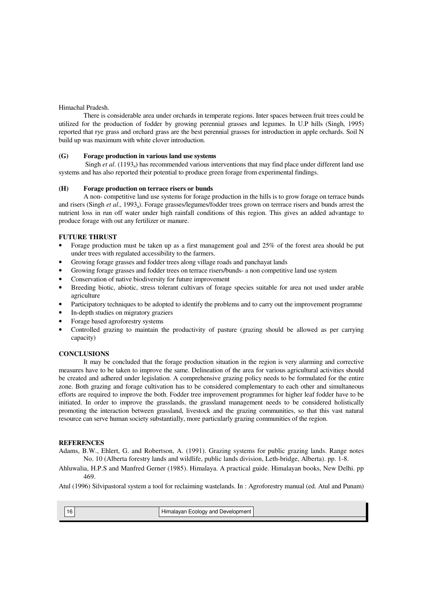### Himachal Pradesh.

There is considerable area under orchards in temperate regions. Inter spaces between fruit trees could be utilized for the production of fodder by growing perennial grasses and legumes. In U.P hills (Singh, 1995) reported that rye grass and orchard grass are the best perennial grasses for introduction in apple orchards. Soil N build up was maximum with white clover introduction.

#### **(G) Forage production in various land use systems**

Singh *et al.* (1193<sub>a</sub>) has recommended various interventions that may find place under different land use systems and has also reported their potential to produce green forage from experimental findings.

#### **(H) Forage production on terrace risers or bunds**

A non- competitive land use systems for forage production in the hills is to grow forage on terrace bunds and risers (Singh *et al.*, 1993<sub>a</sub>). Forage grasses/legumes/fodder trees grown on terrrace risers and bunds arrest the nutrient loss in run off water under high rainfall conditions of this region. This gives an added advantage to produce forage with out any fertilizer or manure.

#### **FUTURE THRUST**

- Forage production must be taken up as a first management goal and 25% of the forest area should be put under trees with regulated accessibility to the farmers.
- Growing forage grasses and fodder trees along village roads and panchayat lands
- Growing forage grasses and fodder trees on terrace risers/bunds- a non competitive land use system
- Conservation of native biodiversity for future improvement
- Breeding biotic, abiotic, stress tolerant cultivars of forage species suitable for area not used under arable agriculture
- Participatory techniques to be adopted to identify the problems and to carry out the improvement programme
- In-depth studies on migratory graziers
- Forage based agroforestry systems
- Controlled grazing to maintain the productivity of pasture (grazing should be allowed as per carrying capacity)

#### **CONCLUSIONS**

 It may be concluded that the forage production situation in the region is very alarming and corrective measures have to be taken to improve the same. Delineation of the area for various agricultural activities should be created and adhered under legislation. A comprehensive grazing policy needs to be formulated for the entire zone. Both grazing and forage cultivation has to be considered complementary to each other and simultaneous efforts are required to improve the both. Fodder tree improvement programmes for higher leaf fodder have to be initiated. In order to improve the grasslands, the grassland management needs to be considered holistically promoting the interaction between grassland, livestock and the grazing communities, so that this vast natural resource can serve human society substantially, more particularly grazing communities of the region.

#### **REFERENCES**

Adams, B.W., Ehlert, G. and Robertson, A. (1991). Grazing systems for public grazing lands. Range notes No. 10 (Alberta forestry lands and wildlife, public lands division, Leth-bridge, Alberta). pp. 1-8.

Ahluwalia, H.P.S and Manfred Gerner (1985). Himalaya. A practical guide. Himalayan books, New Delhi. pp 469.

Atul (1996) Silvipastoral system a tool for reclaiming wastelands. In : Agroforestry manual (ed. Atul and Punam)



16 | Himalayan Ecology and Development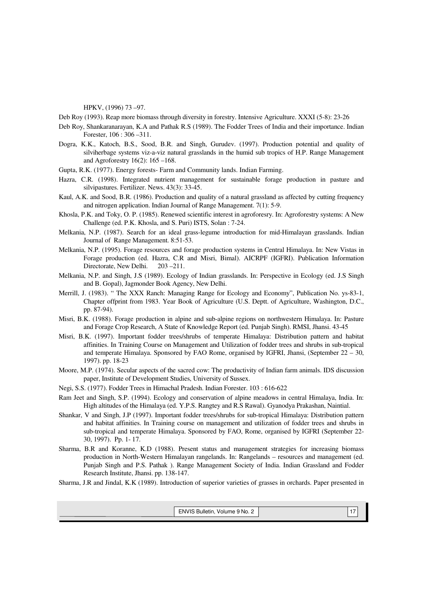HPKV, (1996) 73 –97.

Deb Roy (1993). Reap more biomass through diversity in forestry. Intensive Agriculture. XXXI (5-8): 23-26

- Deb Roy, Shankaranarayan, K.A and Pathak R.S (1989). The Fodder Trees of India and their importance. Indian Forester, 106 : 306 –311.
- Dogra, K.K., Katoch, B.S., Sood, B.R. and Singh, Gurudev. (1997). Production potential and quality of silviherbage systems viz-a-viz natural grasslands in the humid sub tropics of H.P. Range Management and Agroforestry 16(2): 165 –168.
- Gupta, R.K. (1977). Energy forests- Farm and Community lands. Indian Farming.
- Hazra, C.R. (1998). Integrated nutrient management for sustainable forage production in pasture and silvipastures. Fertilizer. News. 43(3): 33-45.
- Kaul, A.K. and Sood, B.R. (1986). Production and quality of a natural grassland as affected by cutting frequency and nitrogen application. Indian Journal of Range Management. 7(1): 5-9.
- Khosla, P.K. and Toky, O. P. (1985). Renewed scientific interest in agroforesry. In: Agroforestry systems: A New Challenge (ed. P.K. Khosla, and S. Puri) ISTS, Solan : 7-24.
- Melkania, N.P. (1987). Search for an ideal grass-legume introduction for mid-Himalayan grasslands. Indian Journal of Range Management. 8:51-53.
- Melkania, N.P. (1995). Forage resources and forage production systems in Central Himalaya. In: New Vistas in Forage production (ed. Hazra, C.R and Misri, Bimal). AICRPF (IGFRI). Publication Information Directorate, New Delhi. 203-211.
- Melkania, N.P. and Singh, J.S (1989). Ecology of Indian grasslands. In: Perspective in Ecology (ed. J.S Singh and B. Gopal), Jagmonder Book Agency, New Delhi.
- Merrill, J. (1983). " The XXX Ranch: Managing Range for Ecology and Economy", Publication No. ys-83-1, Chapter offprint from 1983. Year Book of Agriculture (U.S. Deptt. of Agriculture, Washington, D.C., pp. 87-94).
- Misri, B.K. (1988). Forage production in alpine and sub-alpine regions on northwestern Himalaya. In: Pasture and Forage Crop Research, A State of Knowledge Report (ed. Punjab Singh). RMSI, Jhansi. 43-45
- Misri, B.K. (1997). Important fodder trees/shrubs of temperate Himalaya: Distribution pattern and habitat affinities. In Training Course on Management and Utilization of fodder trees and shrubs in sub-tropical and temperate Himalaya. Sponsored by FAO Rome, organised by IGFRI, Jhansi, (September 22 – 30, 1997). pp. 18-23
- Moore, M.P. (1974). Secular aspects of the sacred cow: The productivity of Indian farm animals. IDS discussion paper, Institute of Development Studies, University of Sussex.
- Negi, S.S. (1977). Fodder Trees in Himachal Pradesh. Indian Forester. 103 : 616-622
- Ram Jeet and Singh, S.P. (1994). Ecology and conservation of alpine meadows in central Himalaya, India. In: High altitudes of the Himalaya (ed. Y.P.S. Rangtey and R.S Rawal). Gyanodya Prakashan, Naintial.
- Shankar, V and Singh, J.P (1997). Important fodder trees/shrubs for sub-tropical Himalaya: Distribution pattern and habitat affinities. In Training course on management and utilization of fodder trees and shrubs in sub-tropical and temperate Himalaya. Sponsored by FAO, Rome, organised by IGFRI (September 22- 30, 1997). Pp. 1- 17.
- Sharma, B.R and Koranne, K.D (1988). Present status and management strategies for increasing biomass production in North-Western Himalayan rangelands. In: Rangelands – resources and management (ed. Punjab Singh and P.S. Pathak ). Range Management Society of India. Indian Grassland and Fodder Research Institute, Jhansi. pp. 138-147.
- Sharma, J.R and Jindal, K.K (1989). Introduction of superior varieties of grasses in orchards. Paper presented in

| ENVIS Bulletin, Volume 9 No. 2 | . |
|--------------------------------|---|
|                                |   |